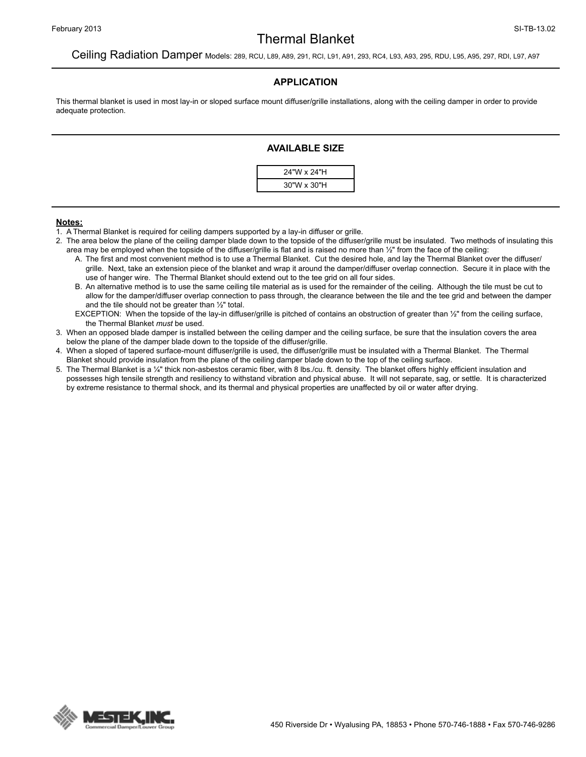## Thermal Blanket

### Ceiling Radiation Damper Models: 289, RCU, L89, A89, 291, RCI, L91, A91, 293, RC4, L93, A93, 295, RDU, L95, A95, 297, RDI, L97, A97

#### **APPLICATION**

This thermal blanket is used in most lay-in or sloped surface mount diffuser/grille installations, along with the ceiling damper in order to provide adequate protection.

#### **AVAILABLE SIZE**



#### **Notes:**

- 1. A Thermal Blanket is required for ceiling dampers supported by a lay-in diffuser or grille.
- 2. The area below the plane of the ceiling damper blade down to the topside of the diffuser/grille must be insulated. Two methods of insulating this area may be employed when the topside of the diffuser/grille is flat and is raised no more than ½" from the face of the ceiling:
	- A. The first and most convenient method is to use a Thermal Blanket. Cut the desired hole, and lay the Thermal Blanket over the diffuser/ grille. Next, take an extension piece of the blanket and wrap it around the damper/diffuser overlap connection. Secure it in place with the use of hanger wire. The Thermal Blanket should extend out to the tee grid on all four sides.
	- B. An alternative method is to use the same ceiling tile material as is used for the remainder of the ceiling. Although the tile must be cut to allow for the damper/diffuser overlap connection to pass through, the clearance between the tile and the tee grid and between the damper and the tile should not be greater than ½" total.
	- EXCEPTION: When the topside of the lay-in diffuser/grille is pitched of contains an obstruction of greater than 1/2" from the ceiling surface, the Thermal Blanket *must* be used.
- 3. When an opposed blade damper is installed between the ceiling damper and the ceiling surface, be sure that the insulation covers the area below the plane of the damper blade down to the topside of the diffuser/grille.
- 4. When a sloped of tapered surface-mount diffuser/grille is used, the diffuser/grille must be insulated with a Thermal Blanket. The Thermal Blanket should provide insulation from the plane of the ceiling damper blade down to the top of the ceiling surface.
- 5. The Thermal Blanket is a ¼" thick non-asbestos ceramic fiber, with 8 lbs./cu. ft. density. The blanket offers highly efficient insulation and possesses high tensile strength and resiliency to withstand vibration and physical abuse. It will not separate, sag, or settle. It is characterized by extreme resistance to thermal shock, and its thermal and physical properties are unaffected by oil or water after drying.